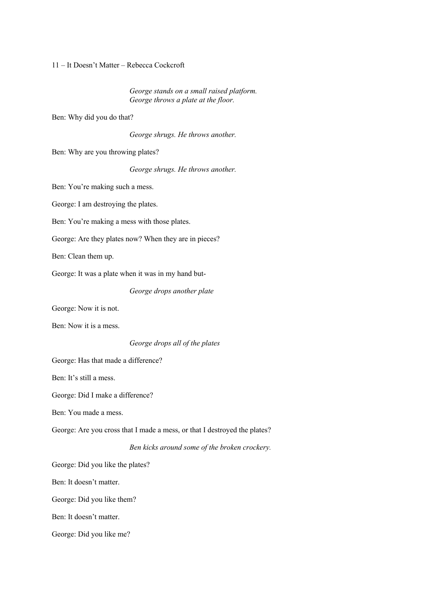11 – It Doesn't Matter – Rebecca Cockcroft

*George stands on a small raised platform. George throws a plate at the floor.*

Ben: Why did you do that?

*George shrugs. He throws another.*

Ben: Why are you throwing plates?

*George shrugs. He throws another.* 

Ben: You're making such a mess.

George: I am destroying the plates.

Ben: You're making a mess with those plates.

George: Are they plates now? When they are in pieces?

Ben: Clean them up.

George: It was a plate when it was in my hand but-

*George drops another plate*

George: Now it is not.

Ben: Now it is a mess.

*George drops all of the plates*

George: Has that made a difference?

Ben: It's still a mess.

George: Did I make a difference?

Ben: You made a mess.

George: Are you cross that I made a mess, or that I destroyed the plates?

*Ben kicks around some of the broken crockery.*

George: Did you like the plates?

Ben: It doesn't matter.

George: Did you like them?

Ben: It doesn't matter.

George: Did you like me?